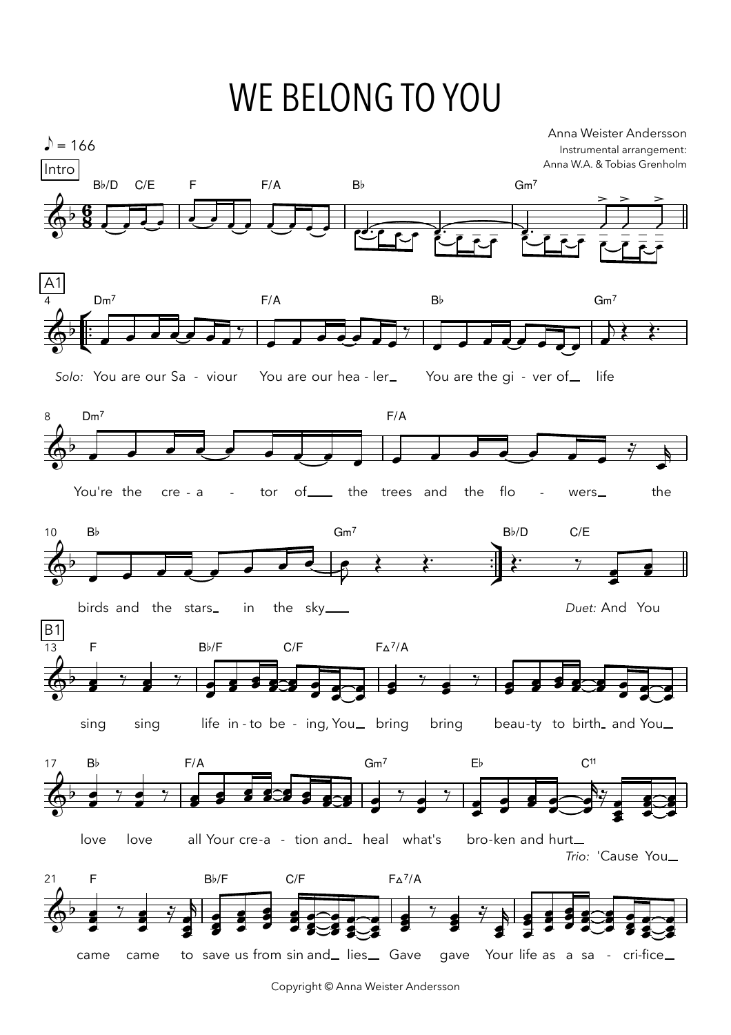## WE BELONG TO YOU



Copyright © Anna Weister Andersson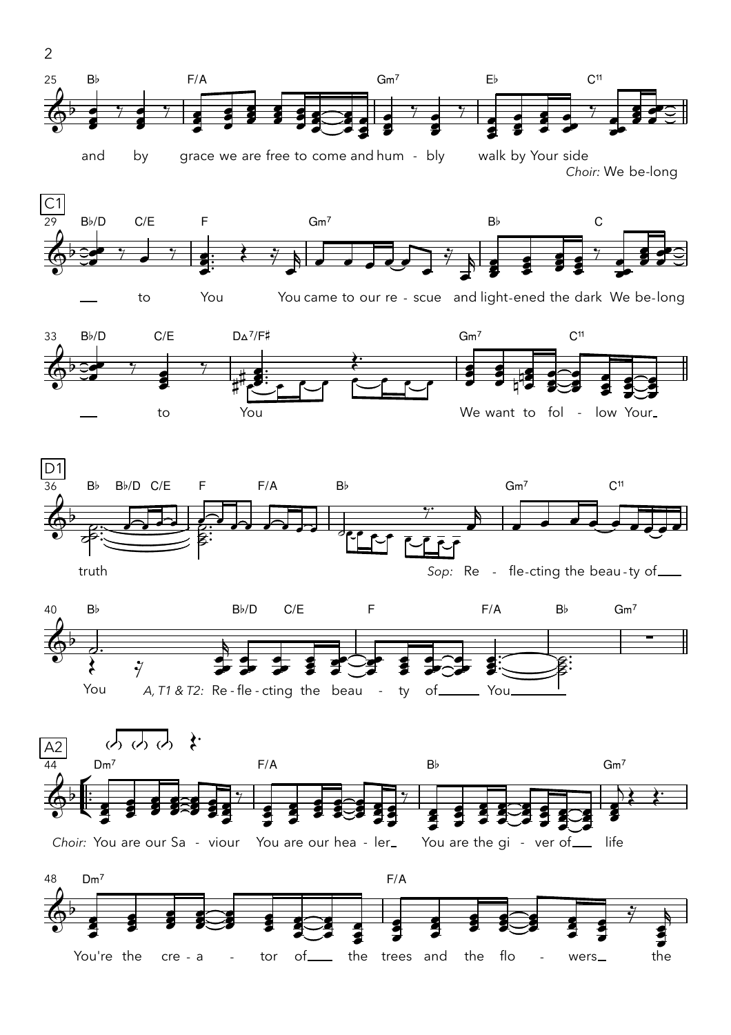

grace we are free to come and hum - bly walk by Your side and by Choir: We be-long



You came to our re - scue and light-ened the dark We be-long











 $\overline{2}$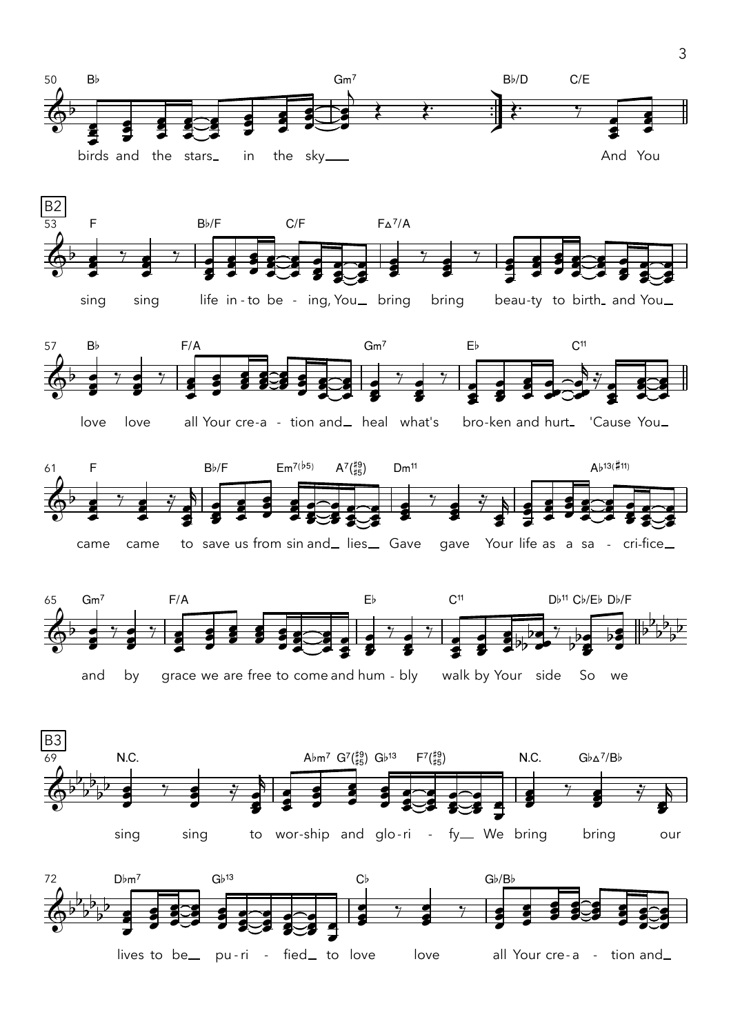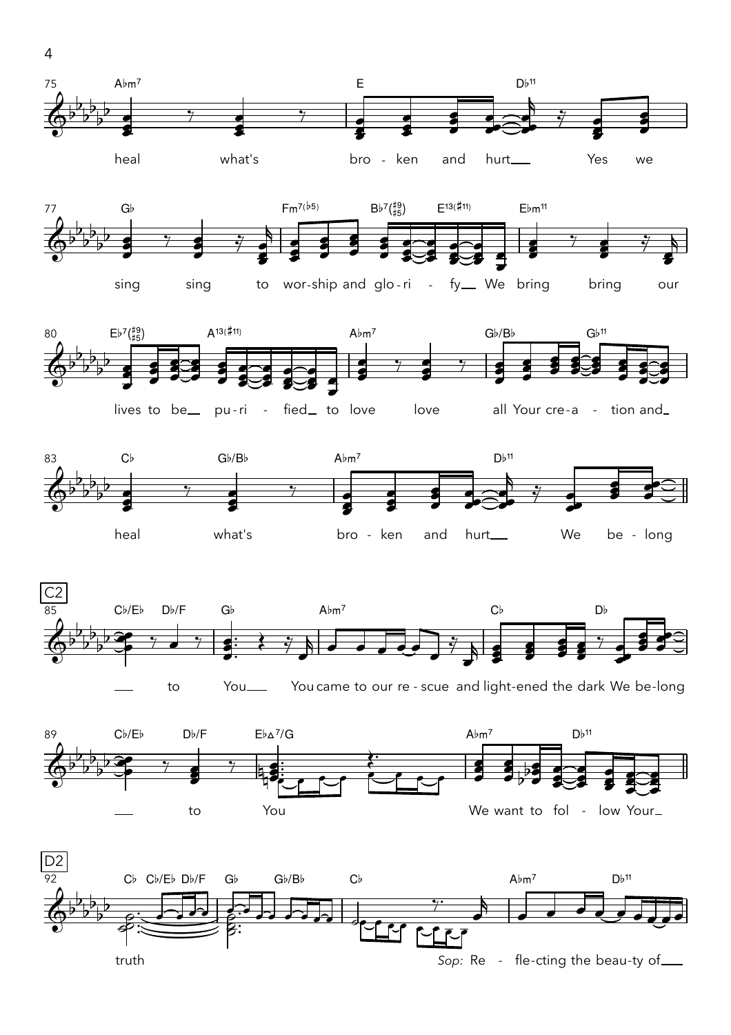![](_page_3_Figure_0.jpeg)